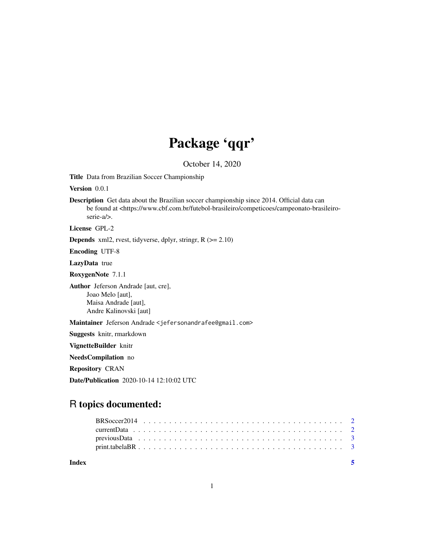# Package 'qqr'

October 14, 2020

Title Data from Brazilian Soccer Championship

Version 0.0.1

Description Get data about the Brazilian soccer championship since 2014. Official data can be found at <https://www.cbf.com.br/futebol-brasileiro/competicoes/campeonato-brasileiroserie-a/>.

License GPL-2

Depends xml2, rvest, tidyverse, dplyr, stringr, R (>= 2.10)

Encoding UTF-8

LazyData true

RoxygenNote 7.1.1

Author Jeferson Andrade [aut, cre], Joao Melo [aut], Maisa Andrade [aut], Andre Kalinovski [aut]

Maintainer Jeferson Andrade <jefersonandrafee@gmail.com>

Suggests knitr, rmarkdown

VignetteBuilder knitr

NeedsCompilation no

Repository CRAN

Date/Publication 2020-10-14 12:10:02 UTC

# R topics documented:

| Index |  |  |  |  |  |  |  |  |  |  |  |  |  |  |  |  |
|-------|--|--|--|--|--|--|--|--|--|--|--|--|--|--|--|--|
|       |  |  |  |  |  |  |  |  |  |  |  |  |  |  |  |  |
|       |  |  |  |  |  |  |  |  |  |  |  |  |  |  |  |  |
|       |  |  |  |  |  |  |  |  |  |  |  |  |  |  |  |  |
|       |  |  |  |  |  |  |  |  |  |  |  |  |  |  |  |  |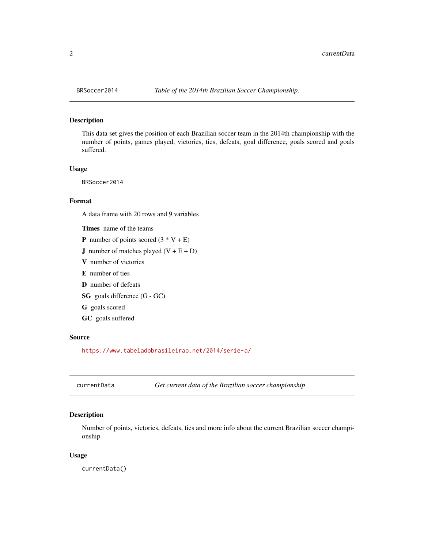#### Description

This data set gives the position of each Brazilian soccer team in the 2014th championship with the number of points, games played, victories, ties, defeats, goal difference, goals scored and goals suffered.

#### Usage

BRSoccer2014

#### Format

A data frame with 20 rows and 9 variables

Times name of the teams

- **P** number of points scored  $(3 * V + E)$
- **J** number of matches played  $(V + E + D)$
- V number of victories
- E number of ties
- D number of defeats
- SG goals difference (G GC)
- G goals scored
- GC goals suffered

#### Source

<https://www.tabeladobrasileirao.net/2014/serie-a/>

<span id="page-1-1"></span>currentData *Get current data of the Brazilian soccer championship*

#### Description

Number of points, victories, defeats, ties and more info about the current Brazilian soccer championship

#### Usage

currentData()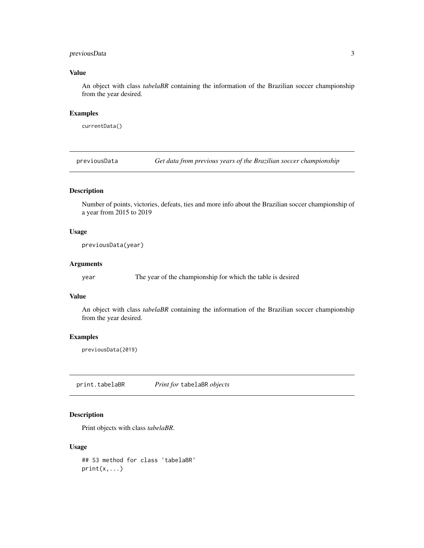#### <span id="page-2-0"></span>previousData 3

#### Value

An object with class *tabelaBR* containing the information of the Brazilian soccer championship from the year desired.

#### Examples

currentData()

<span id="page-2-1"></span>previousData *Get data from previous years of the Brazilian soccer championship*

#### Description

Number of points, victories, defeats, ties and more info about the Brazilian soccer championship of a year from 2015 to 2019

#### Usage

previousData(year)

#### Arguments

year The year of the championship for which the table is desired

#### Value

An object with class *tabelaBR* containing the information of the Brazilian soccer championship from the year desired.

#### Examples

previousData(2019)

print.tabelaBR *Print for* tabelaBR *objects*

#### Description

Print objects with class *tabelaBR*.

#### Usage

## S3 method for class 'tabelaBR'  $print(x, \ldots)$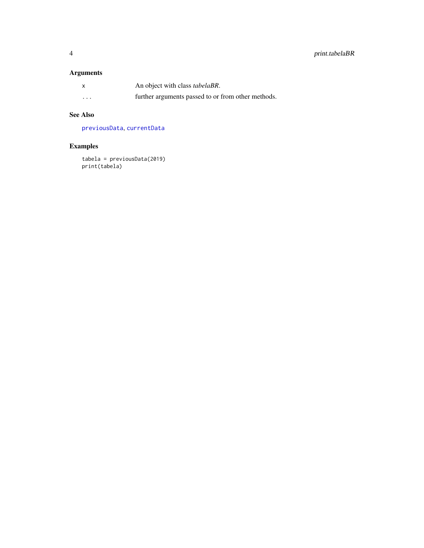## <span id="page-3-0"></span>Arguments

| X        | An object with class <i>tabelaBR</i> .             |
|----------|----------------------------------------------------|
| $\cdots$ | further arguments passed to or from other methods. |

## See Also

[previousData](#page-2-1), [currentData](#page-1-1)

# Examples

tabela = previousData(2019) print(tabela)